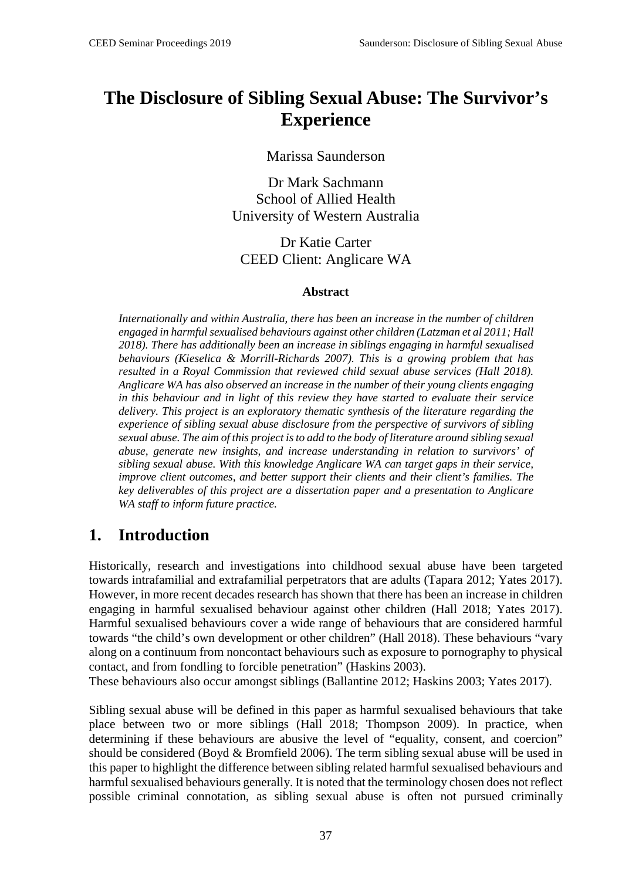# **The Disclosure of Sibling Sexual Abuse: The Survivor's Experience**

Marissa Saunderson

Dr Mark Sachmann School of Allied Health University of Western Australia

Dr Katie Carter CEED Client: Anglicare WA

#### **Abstract**

*Internationally and within Australia, there has been an increase in the number of children engaged in harmful sexualised behaviours against other children (Latzman et al 2011; Hall 2018). There has additionally been an increase in siblings engaging in harmful sexualised behaviours (Kieselica & Morrill-Richards 2007). This is a growing problem that has resulted in a Royal Commission that reviewed child sexual abuse services (Hall 2018). Anglicare WA has also observed an increase in the number of their young clients engaging in this behaviour and in light of this review they have started to evaluate their service delivery. This project is an exploratory thematic synthesis of the literature regarding the experience of sibling sexual abuse disclosure from the perspective of survivors of sibling sexual abuse. The aim of this project is to add to the body of literature around sibling sexual abuse, generate new insights, and increase understanding in relation to survivors' of sibling sexual abuse. With this knowledge Anglicare WA can target gaps in their service, improve client outcomes, and better support their clients and their client's families. The key deliverables of this project are a dissertation paper and a presentation to Anglicare WA staff to inform future practice.*

## **1. Introduction**

Historically, research and investigations into childhood sexual abuse have been targeted towards intrafamilial and extrafamilial perpetrators that are adults (Tapara 2012; Yates 2017). However, in more recent decades research has shown that there has been an increase in children engaging in harmful sexualised behaviour against other children (Hall 2018; Yates 2017). Harmful sexualised behaviours cover a wide range of behaviours that are considered harmful towards "the child's own development or other children" (Hall 2018). These behaviours "vary along on a continuum from noncontact behaviours such as exposure to pornography to physical contact, and from fondling to forcible penetration" (Haskins 2003).

These behaviours also occur amongst siblings (Ballantine 2012; Haskins 2003; Yates 2017).

Sibling sexual abuse will be defined in this paper as harmful sexualised behaviours that take place between two or more siblings (Hall 2018; Thompson 2009). In practice, when determining if these behaviours are abusive the level of "equality, consent, and coercion" should be considered (Boyd & Bromfield 2006). The term sibling sexual abuse will be used in this paper to highlight the difference between sibling related harmful sexualised behaviours and harmful sexualised behaviours generally. It is noted that the terminology chosen does not reflect possible criminal connotation, as sibling sexual abuse is often not pursued criminally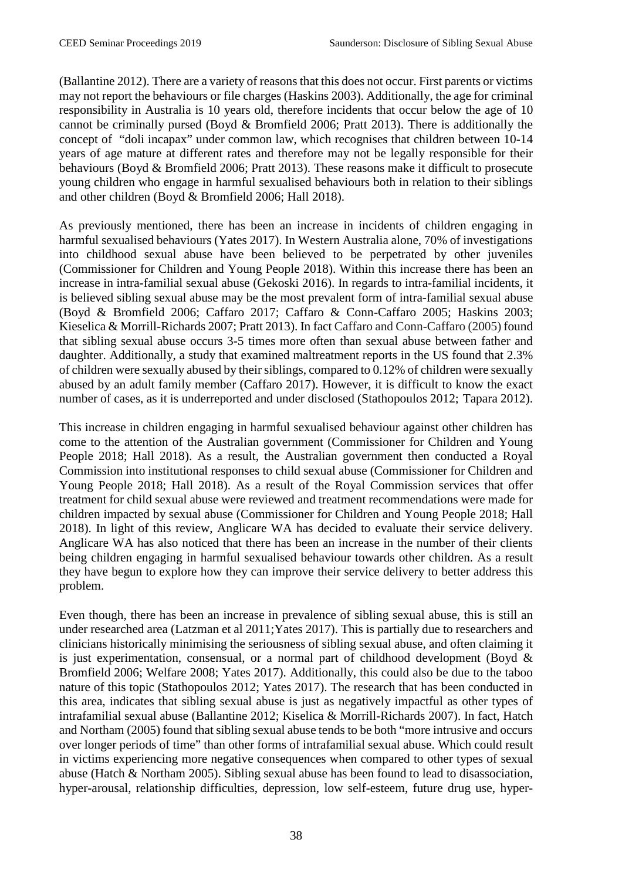(Ballantine 2012). There are a variety of reasons that this does not occur. First parents or victims may not report the behaviours or file charges (Haskins 2003). Additionally, the age for criminal responsibility in Australia is 10 years old, therefore incidents that occur below the age of 10 cannot be criminally pursed (Boyd & Bromfield 2006; Pratt 2013). There is additionally the concept of "doli incapax" under common law, which recognises that children between 10-14 years of age mature at different rates and therefore may not be legally responsible for their behaviours (Boyd & Bromfield 2006; Pratt 2013). These reasons make it difficult to prosecute young children who engage in harmful sexualised behaviours both in relation to their siblings and other children (Boyd & Bromfield 2006; Hall 2018).

As previously mentioned, there has been an increase in incidents of children engaging in harmful sexualised behaviours (Yates 2017). In Western Australia alone, 70% of investigations into childhood sexual abuse have been believed to be perpetrated by other juveniles (Commissioner for Children and Young People 2018). Within this increase there has been an increase in intra-familial sexual abuse (Gekoski 2016). In regards to intra-familial incidents, it is believed sibling sexual abuse may be the most prevalent form of intra-familial sexual abuse (Boyd & Bromfield 2006; Caffaro 2017; Caffaro & Conn-Caffaro 2005; Haskins 2003; Kieselica & Morrill-Richards 2007; Pratt 2013). In fact Caffaro and Conn-Caffaro (2005) found that sibling sexual abuse occurs 3-5 times more often than sexual abuse between father and daughter. Additionally, a study that examined maltreatment reports in the US found that 2.3% of children were sexually abused by their siblings, compared to 0.12% of children were sexually abused by an adult family member (Caffaro 2017). However, it is difficult to know the exact number of cases, as it is underreported and under disclosed (Stathopoulos 2012; Tapara 2012).

This increase in children engaging in harmful sexualised behaviour against other children has come to the attention of the Australian government (Commissioner for Children and Young People 2018; Hall 2018). As a result, the Australian government then conducted a Royal Commission into institutional responses to child sexual abuse (Commissioner for Children and Young People 2018; Hall 2018). As a result of the Royal Commission services that offer treatment for child sexual abuse were reviewed and treatment recommendations were made for children impacted by sexual abuse (Commissioner for Children and Young People 2018; Hall 2018). In light of this review, Anglicare WA has decided to evaluate their service delivery. Anglicare WA has also noticed that there has been an increase in the number of their clients being children engaging in harmful sexualised behaviour towards other children. As a result they have begun to explore how they can improve their service delivery to better address this problem.

Even though, there has been an increase in prevalence of sibling sexual abuse, this is still an under researched area (Latzman et al 2011;Yates 2017). This is partially due to researchers and clinicians historically minimising the seriousness of sibling sexual abuse, and often claiming it is just experimentation, consensual, or a normal part of childhood development (Boyd  $\&$ Bromfield 2006; Welfare 2008; Yates 2017). Additionally, this could also be due to the taboo nature of this topic (Stathopoulos 2012; Yates 2017). The research that has been conducted in this area, indicates that sibling sexual abuse is just as negatively impactful as other types of intrafamilial sexual abuse (Ballantine 2012; Kiselica & Morrill-Richards 2007). In fact, Hatch and Northam (2005) found that sibling sexual abuse tends to be both "more intrusive and occurs over longer periods of time" than other forms of intrafamilial sexual abuse. Which could result in victims experiencing more negative consequences when compared to other types of sexual abuse (Hatch & Northam 2005). Sibling sexual abuse has been found to lead to disassociation, hyper-arousal, relationship difficulties, depression, low self-esteem, future drug use, hyper-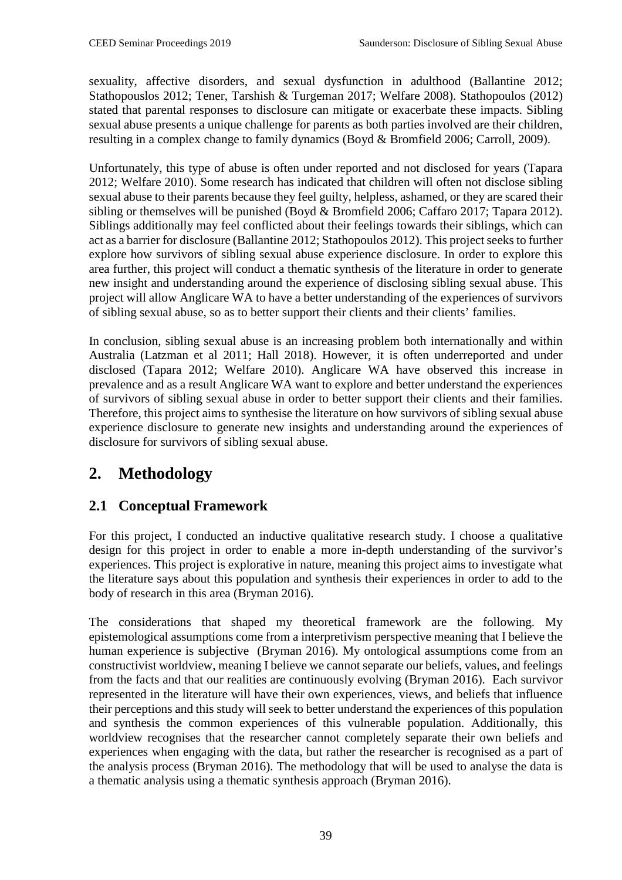sexuality, affective disorders, and sexual dysfunction in adulthood (Ballantine 2012; Stathopouslos 2012; Tener, Tarshish & Turgeman 2017; Welfare 2008). Stathopoulos (2012) stated that parental responses to disclosure can mitigate or exacerbate these impacts. Sibling sexual abuse presents a unique challenge for parents as both parties involved are their children, resulting in a complex change to family dynamics (Boyd & Bromfield 2006; Carroll, 2009).

Unfortunately, this type of abuse is often under reported and not disclosed for years (Tapara 2012; Welfare 2010). Some research has indicated that children will often not disclose sibling sexual abuse to their parents because they feel guilty, helpless, ashamed, or they are scared their sibling or themselves will be punished (Boyd & Bromfield 2006; Caffaro 2017; Tapara 2012). Siblings additionally may feel conflicted about their feelings towards their siblings, which can act as a barrier for disclosure (Ballantine 2012; Stathopoulos 2012). This project seeks to further explore how survivors of sibling sexual abuse experience disclosure. In order to explore this area further, this project will conduct a thematic synthesis of the literature in order to generate new insight and understanding around the experience of disclosing sibling sexual abuse. This project will allow Anglicare WA to have a better understanding of the experiences of survivors of sibling sexual abuse, so as to better support their clients and their clients' families.

In conclusion, sibling sexual abuse is an increasing problem both internationally and within Australia (Latzman et al 2011; Hall 2018). However, it is often underreported and under disclosed (Tapara 2012; Welfare 2010). Anglicare WA have observed this increase in prevalence and as a result Anglicare WA want to explore and better understand the experiences of survivors of sibling sexual abuse in order to better support their clients and their families. Therefore, this project aims to synthesise the literature on how survivors of sibling sexual abuse experience disclosure to generate new insights and understanding around the experiences of disclosure for survivors of sibling sexual abuse.

# **2. Methodology**

### **2.1 Conceptual Framework**

For this project, I conducted an inductive qualitative research study. I choose a qualitative design for this project in order to enable a more in-depth understanding of the survivor's experiences. This project is explorative in nature, meaning this project aims to investigate what the literature says about this population and synthesis their experiences in order to add to the body of research in this area (Bryman 2016).

The considerations that shaped my theoretical framework are the following. My epistemological assumptions come from a interpretivism perspective meaning that I believe the human experience is subjective (Bryman 2016). My ontological assumptions come from an constructivist worldview, meaning I believe we cannot separate our beliefs, values, and feelings from the facts and that our realities are continuously evolving (Bryman 2016). Each survivor represented in the literature will have their own experiences, views, and beliefs that influence their perceptions and this study will seek to better understand the experiences of this population and synthesis the common experiences of this vulnerable population. Additionally, this worldview recognises that the researcher cannot completely separate their own beliefs and experiences when engaging with the data, but rather the researcher is recognised as a part of the analysis process (Bryman 2016). The methodology that will be used to analyse the data is a thematic analysis using a thematic synthesis approach (Bryman 2016).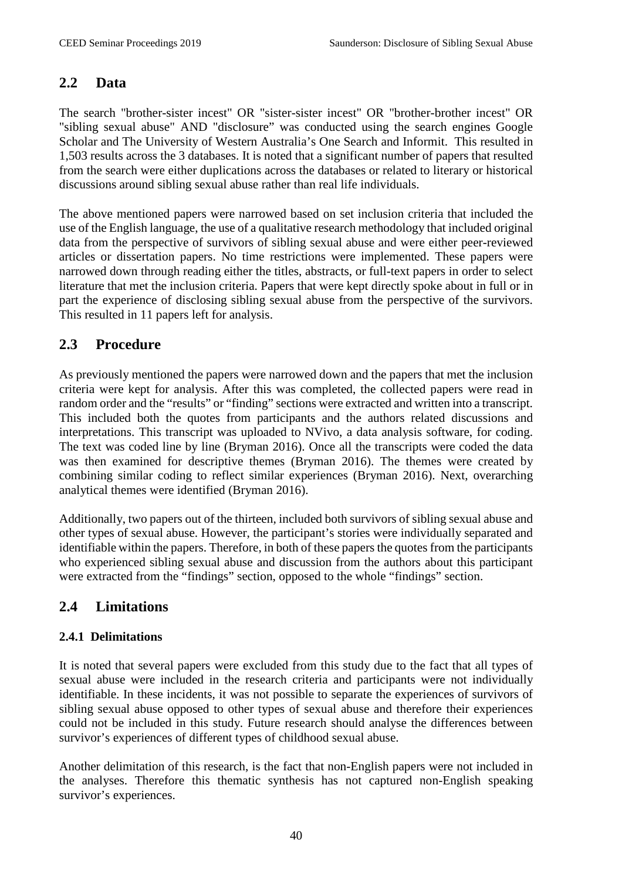#### **2.2 Data**

The search "brother-sister incest" OR "sister-sister incest" OR "brother-brother incest" OR "sibling sexual abuse" AND "disclosure" was conducted using the search engines Google Scholar and The University of Western Australia's One Search and Informit. This resulted in 1,503 results across the 3 databases. It is noted that a significant number of papers that resulted from the search were either duplications across the databases or related to literary or historical discussions around sibling sexual abuse rather than real life individuals.

The above mentioned papers were narrowed based on set inclusion criteria that included the use of the English language, the use of a qualitative research methodology that included original data from the perspective of survivors of sibling sexual abuse and were either peer-reviewed articles or dissertation papers. No time restrictions were implemented. These papers were narrowed down through reading either the titles, abstracts, or full-text papers in order to select literature that met the inclusion criteria. Papers that were kept directly spoke about in full or in part the experience of disclosing sibling sexual abuse from the perspective of the survivors. This resulted in 11 papers left for analysis.

#### **2.3 Procedure**

As previously mentioned the papers were narrowed down and the papers that met the inclusion criteria were kept for analysis. After this was completed, the collected papers were read in random order and the "results" or "finding" sections were extracted and written into a transcript. This included both the quotes from participants and the authors related discussions and interpretations. This transcript was uploaded to NVivo, a data analysis software, for coding. The text was coded line by line (Bryman 2016). Once all the transcripts were coded the data was then examined for descriptive themes (Bryman 2016). The themes were created by combining similar coding to reflect similar experiences (Bryman 2016). Next, overarching analytical themes were identified (Bryman 2016).

Additionally, two papers out of the thirteen, included both survivors of sibling sexual abuse and other types of sexual abuse. However, the participant's stories were individually separated and identifiable within the papers. Therefore, in both of these papers the quotes from the participants who experienced sibling sexual abuse and discussion from the authors about this participant were extracted from the "findings" section, opposed to the whole "findings" section.

### **2.4 Limitations**

#### **2.4.1 Delimitations**

It is noted that several papers were excluded from this study due to the fact that all types of sexual abuse were included in the research criteria and participants were not individually identifiable. In these incidents, it was not possible to separate the experiences of survivors of sibling sexual abuse opposed to other types of sexual abuse and therefore their experiences could not be included in this study. Future research should analyse the differences between survivor's experiences of different types of childhood sexual abuse.

Another delimitation of this research, is the fact that non-English papers were not included in the analyses. Therefore this thematic synthesis has not captured non-English speaking survivor's experiences.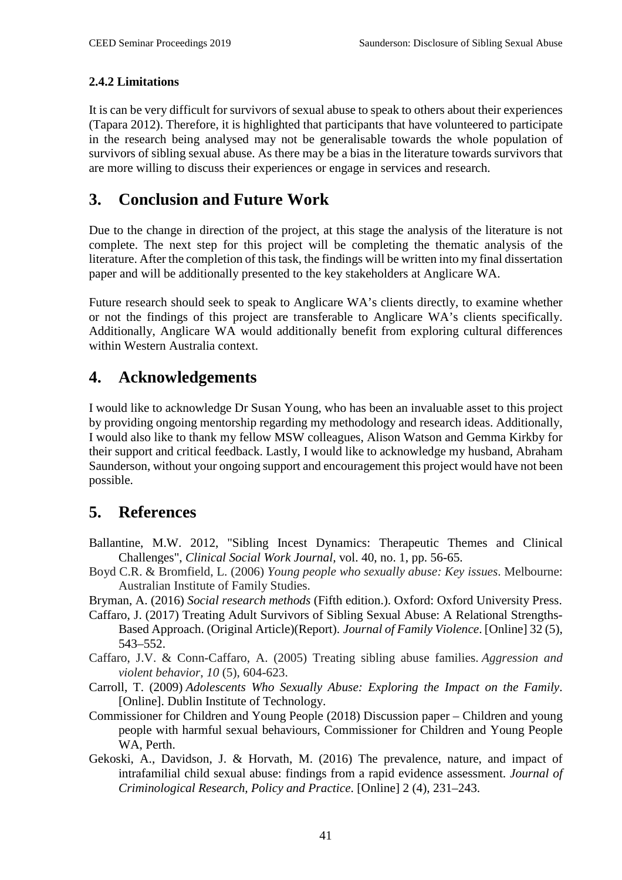#### **2.4.2 Limitations**

It is can be very difficult for survivors of sexual abuse to speak to others about their experiences (Tapara 2012). Therefore, it is highlighted that participants that have volunteered to participate in the research being analysed may not be generalisable towards the whole population of survivors of sibling sexual abuse. As there may be a bias in the literature towards survivors that are more willing to discuss their experiences or engage in services and research.

# **3. Conclusion and Future Work**

Due to the change in direction of the project, at this stage the analysis of the literature is not complete. The next step for this project will be completing the thematic analysis of the literature. After the completion of this task, the findings will be written into my final dissertation paper and will be additionally presented to the key stakeholders at Anglicare WA.

Future research should seek to speak to Anglicare WA's clients directly, to examine whether or not the findings of this project are transferable to Anglicare WA's clients specifically. Additionally, Anglicare WA would additionally benefit from exploring cultural differences within Western Australia context.

## **4. Acknowledgements**

I would like to acknowledge Dr Susan Young, who has been an invaluable asset to this project by providing ongoing mentorship regarding my methodology and research ideas. Additionally, I would also like to thank my fellow MSW colleagues, Alison Watson and Gemma Kirkby for their support and critical feedback. Lastly, I would like to acknowledge my husband, Abraham Saunderson, without your ongoing support and encouragement this project would have not been possible.

## **5. References**

- Ballantine, M.W. 2012, "Sibling Incest Dynamics: Therapeutic Themes and Clinical Challenges", *Clinical Social Work Journal,* vol. 40, no. 1, pp. 56-65.
- Boyd C.R. & Bromfield, L. (2006) *Young people who sexually abuse: Key issues*. Melbourne: Australian Institute of Family Studies.
- Bryman, A. (2016) *Social research methods* (Fifth edition.). Oxford: Oxford University Press.
- Caffaro, J. (2017) Treating Adult Survivors of Sibling Sexual Abuse: A Relational Strengths-Based Approach. (Original Article)(Report). *Journal of Family Violence*. [Online] 32 (5), 543–552.
- Caffaro, J.V. & Conn-Caffaro, A. (2005) Treating sibling abuse families. *Aggression and violent behavior*, *10* (5), 604-623.
- Carroll, T. (2009) *Adolescents Who Sexually Abuse: Exploring the Impact on the Family*. [Online]. Dublin Institute of Technology.
- Commissioner for Children and Young People (2018) Discussion paper Children and young people with harmful sexual behaviours, Commissioner for Children and Young People WA, Perth.
- Gekoski, A., Davidson, J. & Horvath, M. (2016) The prevalence, nature, and impact of intrafamilial child sexual abuse: findings from a rapid evidence assessment. *Journal of Criminological Research, Policy and Practice*. [Online] 2 (4), 231–243.